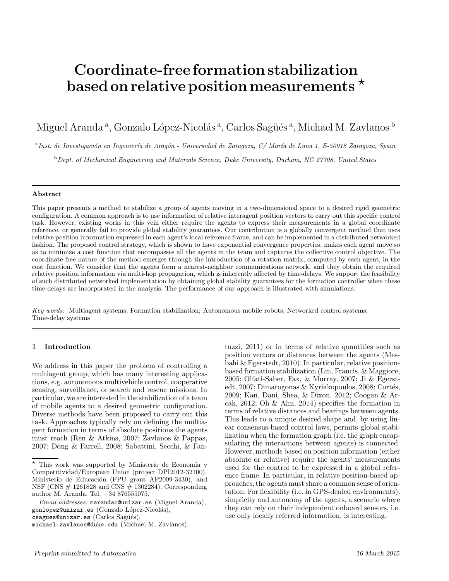# Coordinate-free formation stabilization based on relative position measurements  $\star$

Miguel Aranda<sup>a</sup>, Gonzalo López-Nicolás<sup>a</sup>, Carlos Sagüés<sup>a</sup>, Michael M. Zavlanos <sup>b</sup>

<sup>a</sup> Inst. de Investigación en Ingeniería de Aragón - Universidad de Zaragoza, C/ María de Luna 1, E-50018 Zaragoza, Spain

<sup>b</sup>*Dept. of Mechanical Engineering and Materials Science, Duke University, Durham, NC 27708, United States*

### Abstract

This paper presents a method to stabilize a group of agents moving in a two-dimensional space to a desired rigid geometric configuration. A common approach is to use information of relative interagent position vectors to carry out this specific control task. However, existing works in this vein either require the agents to express their measurements in a global coordinate reference, or generally fail to provide global stability guarantees. Our contribution is a globally convergent method that uses relative position information expressed in each agent's local reference frame, and can be implemented in a distributed networked fashion. The proposed control strategy, which is shown to have exponential convergence properties, makes each agent move so as to minimize a cost function that encompasses all the agents in the team and captures the collective control objective. The coordinate-free nature of the method emerges through the introduction of a rotation matrix, computed by each agent, in the cost function. We consider that the agents form a nearest-neighbor communications network, and they obtain the required relative position information via multi-hop propagation, which is inherently affected by time-delays. We support the feasibility of such distributed networked implementation by obtaining global stability guarantees for the formation controller when these time-delays are incorporated in the analysis. The performance of our approach is illustrated with simulations.

*Key words:* Multiagent systems; Formation stabilization; Autonomous mobile robots; Networked control systems; Time-delay systems

## 1 Introduction

We address in this paper the problem of controlling a multiagent group, which has many interesting applications, e.g. autonomous multivehicle control, cooperative sensing, surveillance, or search and rescue missions. In particular, we are interested in the stabilization of a team of mobile agents to a desired geometric configuration. Diverse methods have been proposed to carry out this task. Approaches typically rely on defining the multiagent formation in terms of absolute positions the agents must reach (Ren & Atkins, 2007; Zavlanos & Pappas, 2007; Dong & Farrell, 2008; Sabattini, Secchi, & Fan-

tuzzi, 2011) or in terms of relative quantities such as position vectors or distances between the agents (Mesbahi & Egerstedt, 2010). In particular, relative positionbased formation stabilization (Lin, Francis, & Maggiore, 2005; Olfati-Saber, Fax, & Murray, 2007; Ji & Egerstedt, 2007; Dimarogonas  $&$  Kyriakopoulos, 2008; Cortés, 2009; Kan, Dani, Shea, & Dixon, 2012; Coogan & Arcak, 2012; Oh & Ahn, 2014) specifies the formation in terms of relative distances and bearings between agents. This leads to a unique desired shape and, by using linear consensus-based control laws, permits global stabilization when the formation graph (i.e. the graph encapsulating the interactions between agents) is connected. However, methods based on position information (either absolute or relative) require the agents' measurements used for the control to be expressed in a global reference frame. In particular, in relative position-based approaches, the agents must share a common sense of orientation. For flexibility (i.e. in GPS-denied environments), simplicity and autonomy of the agents, a scenario where they can rely on their independent onboard sensors, i.e. use only locally referred information, is interesting.

 $^\star$  This work was supported by Ministerio de Economía y Competitividad/European Union (project DPI2012-32100), Ministerio de Educación (FPU grant AP2009-3430), and NSF (CNS # 1261828 and CNS # 1302284). Corresponding author M. Aranda. Tel. +34 876555075.

*Email addresses:* marandac@unizar.es (Miguel Aranda), gonlopez@unizar.es (Gonzalo López-Nicolás), csagues@unizar.es (Carlos Sagüés),

michael.zavlanos@duke.edu (Michael M. Zavlanos).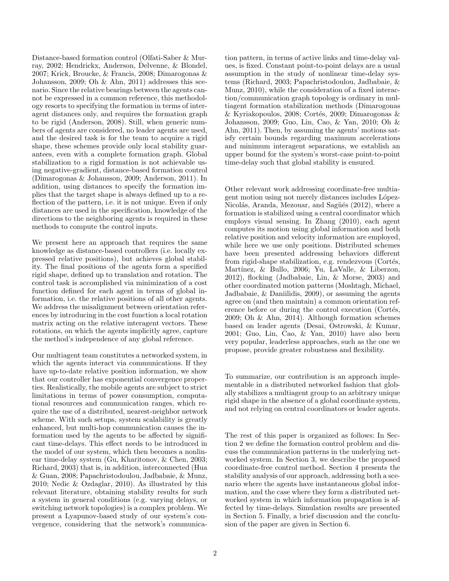Distance-based formation control (Olfati-Saber & Murray, 2002; Hendrickx, Anderson, Delvenne, & Blondel, 2007; Krick, Broucke, & Francis, 2008; Dimarogonas & Johansson, 2009; Oh & Ahn, 2011) addresses this scenario. Since the relative bearings between the agents cannot be expressed in a common reference, this methodology resorts to specifying the formation in terms of interagent distances only, and requires the formation graph to be rigid (Anderson, 2008). Still, when generic numbers of agents are considered, no leader agents are used, and the desired task is for the team to acquire a rigid shape, these schemes provide only local stability guarantees, even with a complete formation graph. Global stabilization to a rigid formation is not achievable using negative-gradient, distance-based formation control (Dimarogonas & Johansson, 2009; Anderson, 2011). In addition, using distances to specify the formation implies that the target shape is always defined up to a reflection of the pattern, i.e. it is not unique. Even if only distances are used in the specification, knowledge of the directions to the neighboring agents is required in these methods to compute the control inputs.

We present here an approach that requires the same knowledge as distance-based controllers (i.e. locally expressed relative positions), but achieves global stability. The final positions of the agents form a specified rigid shape, defined up to translation and rotation. The control task is accomplished via minimization of a cost function defined for each agent in terms of global information, i.e. the relative positions of all other agents. We address the misalignment between orientation references by introducing in the cost function a local rotation matrix acting on the relative interagent vectors. These rotations, on which the agents implicitly agree, capture the method's independence of any global reference.

Our multiagent team constitutes a networked system, in which the agents interact via communications. If they have up-to-date relative position information, we show that our controller has exponential convergence properties. Realistically, the mobile agents are subject to strict limitations in terms of power consumption, computational resources and communication ranges, which require the use of a distributed, nearest-neighbor network scheme. With such setups, system scalability is greatly enhanced, but multi-hop communication causes the information used by the agents to be affected by significant time-delays. This effect needs to be introduced in the model of our system, which then becomes a nonlinear time-delay system (Gu, Kharitonov, & Chen, 2003; Richard, 2003) that is, in addition, interconnected (Hua & Guan, 2008; Papachristodoulou, Jadbabaie, & Munz, 2010; Nedic & Ozdaglar, 2010). As illustrated by this relevant literature, obtaining stability results for such a system in general conditions (e.g. varying delays, or switching network topologies) is a complex problem. We present a Lyapunov-based study of our system's convergence, considering that the network's communication pattern, in terms of active links and time-delay values, is fixed. Constant point-to-point delays are a usual assumption in the study of nonlinear time-delay systems (Richard, 2003; Papachristodoulou, Jadbabaie, & Munz, 2010), while the consideration of a fixed interaction/communication graph topology is ordinary in multiagent formation stabilization methods (Dimarogonas  $&$  Kyriakopoulos, 2008; Cortés, 2009; Dimarogonas  $&$ Johansson, 2009; Guo, Lin, Cao, & Yan, 2010; Oh & Ahn, 2011). Then, by assuming the agents' motions satisfy certain bounds regarding maximum accelerations and minimum interagent separations, we establish an upper bound for the system's worst-case point-to-point time-delay such that global stability is ensured.

Other relevant work addressing coordinate-free multiagent motion using not merely distances includes López-Nicolás, Aranda, Mezouar, and Sagüés (2012), where a formation is stabilized using a central coordinator which employs visual sensing. In Zhang (2010), each agent computes its motion using global information and both relative position and velocity information are employed, while here we use only positions. Distributed schemes have been presented addressing behaviors different from rigid-shape stabilization, e.g. rendezvous (Cortés, Martínez, & Bullo, 2006; Yu, LaValle, & Liberzon, 2012), flocking (Jadbabaie, Lin, & Morse, 2003) and other coordinated motion patterns (Moshtagh, Michael, Jadbabaie, & Daniilidis, 2009), or assuming the agents agree on (and then maintain) a common orientation reference before or during the control execution (Cortés, 2009; Oh & Ahn, 2014). Although formation schemes based on leader agents (Desai, Ostrowski, & Kumar, 2001; Guo, Lin, Cao, & Yan, 2010) have also been very popular, leaderless approaches, such as the one we propose, provide greater robustness and flexibility.

To summarize, our contribution is an approach implementable in a distributed networked fashion that globally stabilizes a multiagent group to an arbitrary unique rigid shape in the absence of a global coordinate system, and not relying on central coordinators or leader agents.

The rest of this paper is organized as follows: In Section 2 we define the formation control problem and discuss the communication patterns in the underlying networked system. In Section 3, we describe the proposed coordinate-free control method. Section 4 presents the stability analysis of our approach, addressing both a scenario where the agents have instantaneous global information, and the case where they form a distributed networked system in which information propagation is affected by time-delays. Simulation results are presented in Section 5. Finally, a brief discussion and the conclusion of the paper are given in Section 6.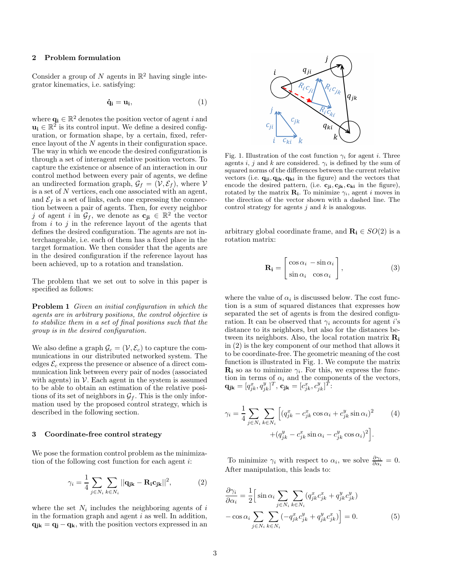### 2 Problem formulation

Consider a group of N agents in  $\mathbb{R}^2$  having single integrator kinematics, i.e. satisfying:

$$
\dot{\mathbf{q}}_{i} = \mathbf{u}_{i},\tag{1}
$$

where  $\mathbf{q}_i \in \mathbb{R}^2$  denotes the position vector of agent i and  $\mathbf{u_i} \in \mathbb{R}^2$  is its control input. We define a desired configuration, or formation shape, by a certain, fixed, reference layout of the N agents in their configuration space. The way in which we encode the desired configuration is through a set of interagent relative position vectors. To capture the existence or absence of an interaction in our control method between every pair of agents, we define an undirected formation graph,  $\mathcal{G}_f = (\mathcal{V}, \mathcal{E}_f)$ , where  $\mathcal{V}$ is a set of N vertices, each one associated with an agent, and  $\mathcal{E}_f$  is a set of links, each one expressing the connection between a pair of agents. Then, for every neighbor j of agent i in  $\mathcal{G}_f$ , we denote as  $\mathbf{c}_{ji} \in \mathbb{R}^2$  the vector from  $i$  to  $j$  in the reference layout of the agents that defines the desired configuration. The agents are not interchangeable, i.e. each of them has a fixed place in the target formation. We then consider that the agents are in the desired configuration if the reference layout has been achieved, up to a rotation and translation.

The problem that we set out to solve in this paper is specified as follows:

Problem 1 Given an initial configuration in which the agents are in arbitrary positions, the control objective is to stabilize them in a set of final positions such that the group is in the desired configuration.

We also define a graph  $\mathcal{G}_c = (\mathcal{V}, \mathcal{E}_c)$  to capture the communications in our distributed networked system. The edges  $\mathcal{E}_c$  express the presence or absence of a direct communication link between every pair of nodes (associated with agents) in  $V$ . Each agent in the system is assumed to be able to obtain an estimation of the relative positions of its set of neighbors in  $\mathcal{G}_f$ . This is the only information used by the proposed control strategy, which is described in the following section.

#### 3 Coordinate-free control strategy

We pose the formation control problem as the minimization of the following cost function for each agent i:

$$
\gamma_i = \frac{1}{4} \sum_{j \in N_i} \sum_{k \in N_i} ||\mathbf{q_{jk}} - \mathbf{R_i} \mathbf{c_{jk}}||^2, \tag{2}
$$

where the set  $N_i$  includes the neighboring agents of i in the formation graph and agent  $i$  as well. In addition,  $q_{jk} = q_j - q_k$ , with the position vectors expressed in an



Fig. 1. Illustration of the cost function  $\gamma_i$  for agent *i*. Three agents i, j and k are considered.  $\gamma_i$  is defined by the sum of squared norms of the differences between the current relative vectors (i.e.  $\mathbf{q}_{ii}, \mathbf{q}_{ik}, \mathbf{q}_{ki}$  in the figure) and the vectors that encode the desired pattern, (i.e.  $c_{ji}, c_{jk}, c_{ki}$  in the figure), rotated by the matrix  $\mathbf{R}_i$ . To minimize  $\gamma_i$ , agent i moves in the direction of the vector shown with a dashed line. The control strategy for agents  $j$  and  $k$  is analogous.

arbitrary global coordinate frame, and  $\mathbf{R_i} \in SO(2)$  is a rotation matrix:

$$
\mathbf{R_i} = \begin{bmatrix} \cos \alpha_i & -\sin \alpha_i \\ \sin \alpha_i & \cos \alpha_i \end{bmatrix},
$$
 (3)

where the value of  $\alpha_i$  is discussed below. The cost function is a sum of squared distances that expresses how separated the set of agents is from the desired configuration. It can be observed that  $\gamma_i$  accounts for agent i's distance to its neighbors, but also for the distances between its neighbors. Also, the local rotation matrix  $\mathbf{R}_i$ in (2) is the key component of our method that allows it to be coordinate-free. The geometric meaning of the cost function is illustrated in Fig. 1. We compute the matrix  $\mathbf{R_i}$  so as to minimize  $\gamma_i$ . For this, we express the function in terms of  $\alpha_i$  and the components of the vectors,  $\mathbf{q_{jk}}=[q_{jk}^x, q_{jk}^y]^T, \, \mathbf{c_{jk}}=[c_{jk}^x, c_{jk}^y]^T.$ 

$$
\gamma_i = \frac{1}{4} \sum_{j \in N_i} \sum_{k \in N_i} \left[ (q_{jk}^x - c_{jk}^x \cos \alpha_i + c_{jk}^y \sin \alpha_i)^2 + (q_{jk}^y - c_{jk}^x \sin \alpha_i - c_{jk}^y \cos \alpha_i)^2 \right].
$$
 (4)

To minimize  $\gamma_i$  with respect to  $\alpha_i$ , we solve  $\frac{\partial \gamma_i}{\partial \alpha_i} = 0$ . After manipulation, this leads to:

$$
\frac{\partial \gamma_i}{\partial \alpha_i} = \frac{1}{2} \Big[ \sin \alpha_i \sum_{j \in N_i} \sum_{k \in N_i} (q_{jk}^x c_{jk}^x + q_{jk}^y c_{jk}^y) - \cos \alpha_i \sum_{j \in N_i} \sum_{k \in N_i} (-q_{jk}^x c_{jk}^y + q_{jk}^y c_{jk}^x) \Big] = 0.
$$
 (5)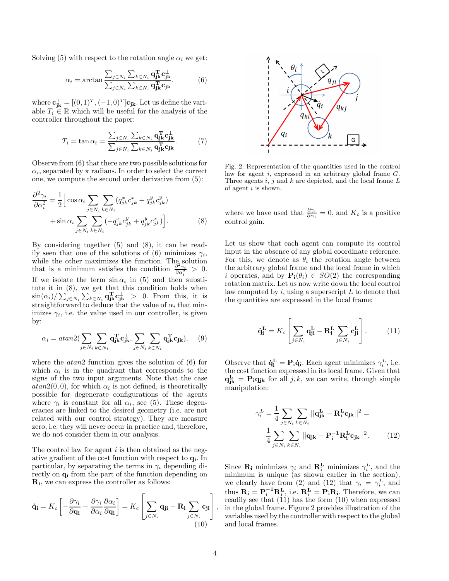Solving (5) with respect to the rotation angle  $\alpha_i$  we get:

$$
\alpha_i = \arctan \frac{\sum_{j \in N_i} \sum_{k \in N_i} \mathbf{q}_{jk}^{\mathrm{T}} \mathbf{c}_{jk}^{\perp}}{\sum_{j \in N_i} \sum_{k \in N_i} \mathbf{q}_{jk}^{\mathrm{T}} \mathbf{c}_{jk}}.
$$
 (6)

where  $\mathbf{c}_{\mathbf{j}\mathbf{k}}^{\perp} = [(0, 1)^T, (-1, 0)^T] \mathbf{c}_{\mathbf{j}\mathbf{k}}$ . Let us define the variable  $T_i \in \mathbb{R}$  which will be useful for the analysis of the controller throughout the paper:

$$
T_i = \tan \alpha_i = \frac{\sum_{j \in N_i} \sum_{k \in N_i} \mathbf{q}_{jk}^{\mathrm{T}} \mathbf{c}_{jk}^{\perp}}{\sum_{j \in N_i} \sum_{k \in N_i} \mathbf{q}_{jk}^{\mathrm{T}} \mathbf{c}_{jk}}.
$$
 (7)

Observe from (6) that there are two possible solutions for  $\alpha_i$ , separated by  $\pi$  radians. In order to select the correct one, we compute the second order derivative from (5):

$$
\frac{\partial^2 \gamma_i}{\partial \alpha_i^2} = \frac{1}{2} \Big[ \cos \alpha_i \sum_{j \in N_i} \sum_{k \in N_i} (q_{jk}^x c_{jk}^x + q_{jk}^y c_{jk}^y) + \sin \alpha_i \sum_{j \in N_i} \sum_{k \in N_i} (-q_{jk}^x c_{jk}^y + q_{jk}^y c_{jk}^x) \Big].
$$
\n(8)

By considering together (5) and (8), it can be readily seen that one of the solutions of (6) minimizes  $\gamma_i$ , while the other maximizes the function. The solution that is a minimum satisfies the condition  $\frac{\partial^2 \gamma_i}{\partial \alpha_i^2} > 0$ . If we isolate the term  $\sin \alpha_i$  in (5) and then substitute it in (8), we get that this condition holds when  $\sin(\alpha_i)/\sum_{j\in N_i}\sum_{k\in N_i} \mathbf{q}_{jk}^{\mathbf{T}}\mathbf{c}_{jk}^{\perp} > 0$ . From this, it is straightforward to deduce that the value of  $\alpha_i$  that minimizes  $\gamma_i$ , i.e. the value used in our controller, is given by:

$$
\alpha_i = \operatorname{atan2}(\sum_{j \in N_i} \sum_{k \in N_i} \mathbf{q}_{jk}^{\mathrm{T}} \mathbf{c}_{jk}^{\perp}, \sum_{j \in N_i} \sum_{k \in N_i} \mathbf{q}_{jk}^{\mathrm{T}} \mathbf{c}_{jk}), \quad (9)
$$

where the atan2 function gives the solution of (6) for which  $\alpha_i$  is in the quadrant that corresponds to the signs of the two input arguments. Note that the case  $atan2(0,0)$ , for which  $\alpha_i$  is not defined, is theoretically possible for degenerate configurations of the agents where  $\gamma_i$  is constant for all  $\alpha_i$ , see (5). These degeneracies are linked to the desired geometry (i.e. are not related with our control strategy). They are measure zero, i.e. they will never occur in practice and, therefore, we do not consider them in our analysis.

The control law for agent  $i$  is then obtained as the negative gradient of the cost function with respect to q<sup>i</sup> . In particular, by separating the terms in  $\gamma_i$  depending directly on  $q_i$  from the part of the function depending on  $\mathbf{R}_{i}$ , we can express the controller as follows:

$$
\dot{\mathbf{q}}_{\mathbf{i}} = K_c \left[ -\frac{\partial \gamma_i}{\partial \mathbf{q_i}} - \frac{\partial \gamma_i}{\partial \alpha_i} \frac{\partial \alpha_i}{\partial \mathbf{q_i}} \right] = K_c \left[ \sum_{j \in N_i} \mathbf{q_{ji}} - \mathbf{R_i} \sum_{j \in N_i} \mathbf{c_{ji}} \right],
$$
\n(10)



Fig. 2. Representation of the quantities used in the control law for agent i, expressed in an arbitrary global frame G. Three agents  $i, j$  and  $k$  are depicted, and the local frame  $L$ of agent  $i$  is shown.

where we have used that  $\frac{\partial \gamma_i}{\partial \alpha_i} = 0$ , and  $K_c$  is a positive control gain.

Let us show that each agent can compute its control input in the absence of any global coordinate reference. For this, we denote as  $\theta_i$  the rotation angle between the arbitrary global frame and the local frame in which i operates, and by  $\mathbf{P_i}(\theta_i) \in SO(2)$  the corresponding rotation matrix. Let us now write down the local control law computed by  $i$ , using a superscript  $L$  to denote that the quantities are expressed in the local frame:

$$
\dot{\mathbf{q}}_i^{\mathbf{L}} = K_c \left[ \sum_{j \in N_i} \mathbf{q}_{ji}^{\mathbf{L}} - \mathbf{R}_i^{\mathbf{L}} \sum_{j \in N_i} \mathbf{c}_{ji}^{\mathbf{L}} \right]. \tag{11}
$$

Observe that  $\dot{\mathbf{q}}_i^{\mathbf{L}} = \mathbf{P}_i \dot{\mathbf{q}}_i$ . Each agent minimizes  $\gamma_i^L$ , i.e. the cost function expressed in its local frame. Given that  $\mathbf{q}_{jk}^{\mathbf{L}} = \mathbf{P}_i \mathbf{q}_{jk}$  for all  $j, k$ , we can write, through simple manipulation:

$$
\gamma_i^L = \frac{1}{4} \sum_{j \in N_i} \sum_{k \in N_i} ||\mathbf{q}_{jk}^{\mathbf{L}} - \mathbf{R}_i^{\mathbf{L}} \mathbf{c}_{jk}||^2 =
$$

$$
\frac{1}{4} \sum_{j \in N_i} \sum_{k \in N_i} ||\mathbf{q}_{jk} - \mathbf{P}_i^{-1} \mathbf{R}_i^{\mathbf{L}} \mathbf{c}_{jk}||^2.
$$
(12)

Since  $\mathbf{R}_i$  minimizes  $\gamma_i$  and  $\mathbf{R}_i^{\mathbf{L}}$  minimizes  $\gamma_i^L$ , and the minimum is unique (as shown earlier in the section), we clearly have from (2) and (12) that  $\gamma_i = \gamma_i^L$ , and thus  $\mathbf{R_i} = \mathbf{P_i^{-1}R_i^L}$ , i.e.  $\mathbf{R_i^L} = \mathbf{P_iR_i}$ . Therefore, we can readily see that (11) has the form (10) when expressed in the global frame. Figure 2 provides illustration of the variables used by the controller with respect to the global and local frames.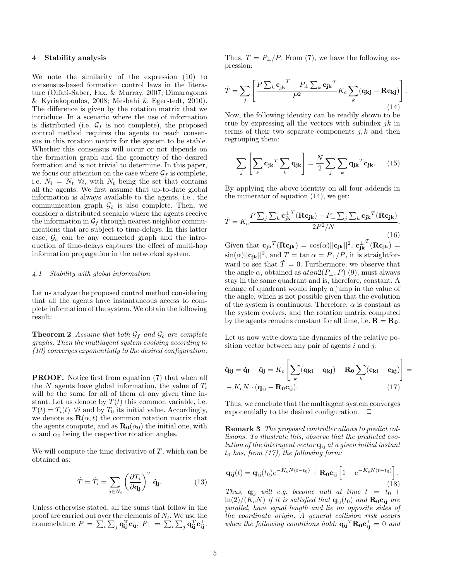#### 4 Stability analysis

We note the similarity of the expression (10) to consensus-based formation control laws in the literature (Olfati-Saber, Fax, & Murray, 2007; Dimarogonas & Kyriakopoulos, 2008; Mesbahi & Egerstedt, 2010). The difference is given by the rotation matrix that we introduce. In a scenario where the use of information is distributed (i.e.  $\mathcal{G}_f$  is not complete), the proposed control method requires the agents to reach consensus in this rotation matrix for the system to be stable. Whether this consensus will occur or not depends on the formation graph and the geometry of the desired formation and is not trivial to determine. In this paper, we focus our attention on the case where  $\mathcal{G}_f$  is complete, i.e.  $N_i = N_t \ \forall i$ , with  $N_t$  being the set that contains all the agents. We first assume that up-to-date global information is always available to the agents, i.e., the communication graph  $\mathcal{G}_c$  is also complete. Then, we consider a distributed scenario where the agents receive the information in  $\mathcal{G}_f$  through nearest neighbor communications that are subject to time-delays. In this latter case,  $\mathcal{G}_c$  can be any connected graph and the introduction of time-delays captures the effect of multi-hop information propagation in the networked system.

#### 4.1 Stability with global information

Let us analyze the proposed control method considering that all the agents have instantaneous access to complete information of the system. We obtain the following result:

**Theorem 2** Assume that both  $\mathcal{G}_f$  and  $\mathcal{G}_c$  are complete graphs. Then the multiagent system evolving according to (10) converges exponentially to the desired configuration.

PROOF. Notice first from equation (7) that when all the N agents have global information, the value of  $T_i$ will be the same for all of them at any given time instant. Let us denote by  $T(t)$  this common variable, i.e.  $T(t) = T_i(t)$   $\forall i$  and by  $T_0$  its initial value. Accordingly, we denote as  $\mathbf{R}(\alpha, t)$  the common rotation matrix that the agents compute, and as  $\mathbf{R}_{0}(\alpha_{0})$  the initial one, with  $\alpha$  and  $\alpha_0$  being the respective rotation angles.

We will compute the time derivative of  $T$ , which can be obtained as:

$$
\dot{T} = \dot{T}_i = \sum_{j \in N_i} \left(\frac{\partial T_i}{\partial \mathbf{q_j}}\right)^T \dot{\mathbf{q}}_j.
$$
 (13)

Unless otherwise stated, all the sums that follow in the proof are carried out over the elements of  $N_t$ . We use the nomenclature  $P = \sum_i \sum_j \mathbf{q}_{ij}^{\mathrm{T}} \mathbf{c}_{ij}, P_{\perp} = \sum_i \sum_j \mathbf{q}_{ij}^{\mathrm{T}} \mathbf{c}_{ij}^{\perp}.$ 

Thus,  $T = P_{\perp}/P$ . From (7), we have the following expression:

$$
\dot{T} = \sum_{j} \left[ \frac{P \sum_{k} \mathbf{c_{jk}}^{T} - P_{\perp} \sum_{k} \mathbf{c_{jk}}^{T}}{P^{2}} K_{c} \sum_{k} (\mathbf{q_{kj}} - \mathbf{R} \mathbf{c_{kj}}) \right].
$$
\n(14)

Now, the following identity can be readily shown to be true by expressing all the vectors with subindex  $jk$  in terms of their two separate components  $j, k$  and then regrouping them:

$$
\sum_{j} \left[ \sum_{k} \mathbf{c}_{j\mathbf{k}}^{T} \sum_{k} \mathbf{q}_{j\mathbf{k}} \right] = \frac{N}{2} \sum_{j} \sum_{k} \mathbf{q}_{j\mathbf{k}}^{T} \mathbf{c}_{j\mathbf{k}}.
$$
 (15)

By applying the above identity on all four addends in the numerator of equation (14), we get:

$$
\dot{T} = K_c \frac{P \sum_j \sum_k \mathbf{c}_{jk}^{\perp T} (\mathbf{R} \mathbf{c}_{jk}) - P_{\perp} \sum_j \sum_k \mathbf{c}_{jk}^T (\mathbf{R} \mathbf{c}_{jk})}{2P^2/N}.
$$
\n(16)

Given that  $\mathbf{c}_{\mathbf{j}\mathbf{k}}^T(\mathbf{R}\mathbf{c}_{\mathbf{j}\mathbf{k}}) = \cos(\alpha) ||\mathbf{c}_{\mathbf{j}\mathbf{k}}||^2$ ,  $\mathbf{c}_{\mathbf{j}\mathbf{k}}^{\perp}$  $T(\mathbf{Rc_{jk}}) =$  $\sin(\alpha)||\mathbf{c}_{jk}||^2$ , and  $T = \tan \alpha = P_{\perp}/P$ , it is straightforward to see that  $\dot{T} = 0$ . Furthermore, we observe that the angle  $\alpha$ , obtained as  $atan2(P_{\perp}, P_{\perp})$  (9), must always stay in the same quadrant and is, therefore, constant. A change of quadrant would imply a jump in the value of the angle, which is not possible given that the evolution of the system is continuous. Therefore,  $\alpha$  is constant as the system evolves, and the rotation matrix computed by the agents remains constant for all time, i.e.  $\mathbf{R} = \mathbf{R_0}$ .

Let us now write down the dynamics of the relative position vector between any pair of agents  $i$  and  $j$ :

$$
\dot{\mathbf{q}}_{ij} = \dot{\mathbf{q}}_i - \dot{\mathbf{q}}_j = K_c \left[ \sum_k (\mathbf{q}_{ki} - \mathbf{q}_{kj}) - \mathbf{R}_0 \sum_k (\mathbf{c}_{ki} - \mathbf{c}_{kj}) \right] = -K_c N \cdot (\mathbf{q}_{ij} - \mathbf{R}_0 \mathbf{c}_{ij}).
$$
\n(17)

Thus, we conclude that the multiagent system converges exponentially to the desired configuration.  $\Box$ 

Remark 3 The proposed controller allows to predict collisions. To illustrate this, observe that the predicted evolution of the interagent vector  $q_{ij}$  at a given initial instant  $t_0$  has, from (17), the following form:

$$
\mathbf{q_{ij}}(t) = \mathbf{q_{ij}}(t_0)e^{-K_cN(t-t_0)} + \mathbf{R_0}\mathbf{c_{ij}}\left[1 - e^{-K_cN(t-t_0)}\right].
$$
\n(18)

Thus,  $q_{ij}$  will e.g. become null at time  $t = t_0 +$  $\ln(2)/(K_c N)$  if it is satisfied that  $\mathbf{q_{ij}}(t_0)$  and  $\mathbf{R_0 c_{ij}}$  are parallel, have equal length and lie on opposite sides of the coordinate origin. A general collision risk occurs when the following conditions hold:  $\mathbf{q_{ij}}^T \mathbf{R_0} \mathbf{c}_{ij}^{\perp} = 0$  and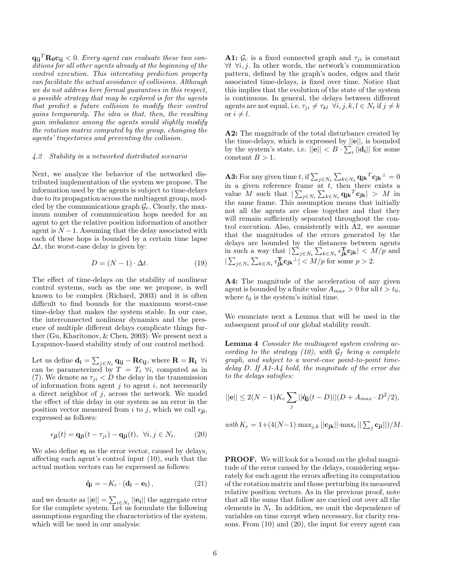$\mathbf{q_{ij}}^T \mathbf{R_0} \mathbf{c_{ij}} < 0$ . Every agent can evaluate these two conditions for all other agents already at the beginning of the control execution. This interesting prediction property can facilitate the actual avoidance of collisions. Although we do not address here formal guarantees in this respect, a possible strategy that may be explored is for the agents that predict a future collision to modify their control gains temporarily. The idea is that, then, the resulting gain imbalance among the agents would slightly modify the rotation matrix computed by the group, changing the agents' trajectories and preventing the collision.

#### 4.2 Stability in a networked distributed scenario

Next, we analyze the behavior of the networked distributed implementation of the system we propose. The information used by the agents is subject to time-delays due to its propagation across the multiagent group, modeled by the communications graph  $\mathcal{G}_c$ . Clearly, the maximum number of communication hops needed for an agent to get the relative position information of another agent is  $N-1$ . Assuming that the delay associated with each of these hops is bounded by a certain time lapse  $\Delta t$ , the worst-case delay is given by:

$$
D = (N - 1) \cdot \Delta t. \tag{19}
$$

The effect of time-delays on the stability of nonlinear control systems, such as the one we propose, is well known to be complex (Richard, 2003) and it is often difficult to find bounds for the maximum worst-case time-delay that makes the system stable. In our case, the interconnected nonlinear dynamics and the presence of multiple different delays complicate things further (Gu, Kharitonov, & Chen, 2003). We present next a Lyapunov-based stability study of our control method.

Let us define  $\mathbf{d_i} = \sum_{j \in N_t} \mathbf{q_{ij}} - \mathbf{Rc_{ij}},$  where  $\mathbf{R} = \mathbf{R_i} \enspace \forall i$ can be parameterized by  $T = T_i \forall i$ , computed as in (7). We denote as  $\tau_{ii} < D$  the delay in the transmission of information from agent  $j$  to agent  $i$ , not necessarily a direct neighbor of  $j$ , across the network. We model the effect of this delay in our system as an error in the position vector measured from i to j, which we call  $\epsilon_{ii}$ , expressed as follows:

$$
\epsilon_{\mathbf{ji}}(t) = \mathbf{q}_{\mathbf{ji}}(t - \tau_{ji}) - \mathbf{q}_{\mathbf{ji}}(t), \ \forall i, j \in N_t.
$$
 (20)

We also define  $e_i$  as the error vector, caused by delays, affecting each agent's control input (10), such that the actual motion vectors can be expressed as follows:

$$
\dot{\mathbf{q}}_{i} = -K_c \cdot (\mathbf{d}_i - \mathbf{e}_i), \qquad (21)
$$

and we denote as  $||e|| = \sum_{i \in N_t} ||e_i||$  the aggregate error for the complete system. Let us formulate the following assumptions regarding the characteristics of the system, which will be used in our analysis:

**A1:**  $\mathcal{G}_c$  is a fixed connected graph and  $\tau_{ji}$  is constant  $\forall t \ \forall i, j$ . In other words, the network's communication pattern, defined by the graph's nodes, edges and their associated time-delays, is fixed over time. Notice that this implies that the evolution of the state of the system is continuous. In general, the delays between different agents are not equal, i.e.  $\tau_{ji} \neq \tau_{kl} \ \forall i, j, k, l \in N_t$  if  $j \neq k$ or  $i \neq l$ .

A2: The magnitude of the total disturbance created by the time-delays, which is expressed by  $||\mathbf{e}||$ , is bounded by the system's state, i.e.  $||\mathbf{e}|| < B \cdot \sum_i ||\mathbf{d_i}||$  for some constant  $B > 1$ .

**A3:** For any given time t, if  $\sum_{j \in N_t} \sum_{k \in N_t} \mathbf{q_{jk}}^T \mathbf{c_{jk}}^{\perp} = 0$ in a given reference frame at  $t$ , then there exists a value M such that  $\sum_{j \in N_t} \sum_{k \in N_t} \mathbf{q_{jk}}^T \mathbf{c_{jk}} \geq M$  in the same frame. This assumption means that initially not all the agents are close together and that they will remain sufficiently separated throughout the control execution. Also, consistently with A2, we assume that the magnitudes of the errors generated by the delays are bounded by the distances between agents in such a way that  $\sum_{j \in N_t} \sum_{k \in N_t} \epsilon_{jk}^{\mathbf{T}} c_{jk} \vert < M/p$  and  $|\sum_{j\in N_t}\sum_{k\in N_t} \epsilon_{jk}^{\mathbf{T}}\mathbf{c}_{jk}^{\mathbf{\perp}}| < M/p$  for some  $p > 2$ .

A4: The magnitude of the acceleration of any given agent is bounded by a finite value  $A_{max} > 0$  for all  $t > t_0$ , where  $t_0$  is the system's initial time.

We enunciate next a Lemma that will be used in the subsequent proof of our global stability result.

Lemma 4 Consider the multiagent system evolving according to the strategy (10), with  $\mathcal{G}_f$  being a complete graph, and subject to a worst-case point-to-point timedelay D. If A1-A4 hold, the magnitude of the error due to the delays satisfies:

$$
||\mathbf{e}|| \le 2(N-1)K_e \sum_j ||\dot{\mathbf{q}}_j(t-D)|| (D + A_{max} \cdot D^2/2),
$$

with 
$$
K_e = 1 + (4(N-1) \cdot \max_{j,k} ||\mathbf{c}_{jk}|| \cdot \max_i ||\sum_j \mathbf{c}_{ji}||)/M
$$
.

PROOF. We will look for a bound on the global magnitude of the error caused by the delays, considering separately for each agent the errors affecting its computation of the rotation matrix and those perturbing its measured relative position vectors. As in the previous proof, note that all the sums that follow are carried out over all the elements in  $N_t$ . In addition, we omit the dependence of variables on time except when necessary, for clarity reasons. From (10) and (20), the input for every agent can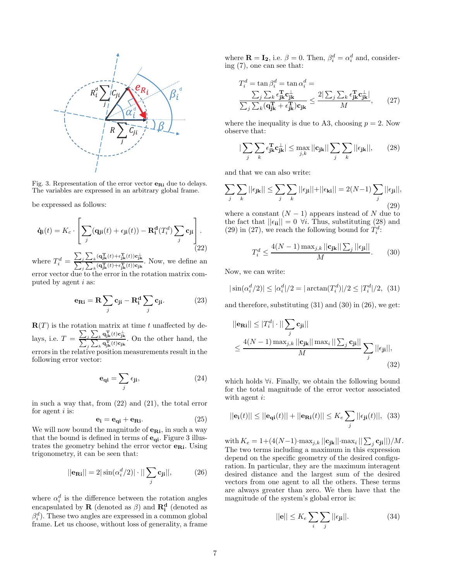

Fig. 3. Representation of the error vector  $e_{\mathbf{R}i}$  due to delays. The variables are expressed in an arbitrary global frame.

be expressed as follows:

$$
\dot{\mathbf{q}}_{i}(t) = K_c \cdot \left[ \sum_{j} (\mathbf{q}_{ji}(t) + \epsilon_{ji}(t)) - \mathbf{R}_{i}^{d}(T_i^d) \sum_{j} \mathbf{c}_{ji} \right].
$$
\n(22)

where  $T_i^d = \frac{\sum_j \sum_k (\mathbf{q}_{jk}^T(t)+\epsilon_{jk}^T(t))\mathbf{c}_{jk}^{\perp}}{\sum_j \sum_k (\mathbf{q}_{jk}^T(t)+\epsilon_{jk}^T(t))\mathbf{c}_{jk}}$ . Now, we define an

error vector due to the error in the rotation matrix computed by agent i as:

$$
\mathbf{e}_{\mathbf{Ri}} = \mathbf{R} \sum_{j} \mathbf{c}_{\mathbf{j}i} - \mathbf{R}_{i}^{\mathbf{d}} \sum_{j} \mathbf{c}_{\mathbf{j}i}.
$$
 (23)

 $\mathbf{R}(T)$  is the rotation matrix at time t unaffected by delays, i.e.  $T = \frac{\sum_j \sum_k \mathbf{q}_{jk}^T(t) \mathbf{c}_{jk}^{\perp}}{\sum_j \sum_k \mathbf{q}_{jk}^T(t) \mathbf{c}_{jk}}$ . On the other hand, the errors in the relative position measurements result in the following error vector:

$$
\mathbf{e}_{\mathbf{q}i} = \sum_{j} \epsilon_{ji},\tag{24}
$$

in such a way that, from (22) and (21), the total error for agent  $i$  is:

$$
\mathbf{e_i} = \mathbf{e_{qi}} + \mathbf{e_{Ri}}.\tag{25}
$$

We will now bound the magnitude of  $e_{\text{Ri}}$ , in such a way that the bound is defined in terms of  $e_{qi}$ . Figure 3 illustrates the geometry behind the error vector  $\mathbf{e}_{\mathbf{Ri}}$ . Using trigonometry, it can be seen that:

$$
||\mathbf{e}_{\mathbf{Ri}}|| = 2|\sin(\alpha_i^d/2)| \cdot ||\sum_j \mathbf{c}_{\mathbf{ji}}||,\tag{26}
$$

where  $\alpha_i^d$  is the difference between the rotation angles encapsulated by  ${\bf R}$  (denoted as  $\beta)$  and  ${\bf R^d_i}$  (denoted as  $\beta_i^d$ ). These two angles are expressed in a common global frame. Let us choose, without loss of generality, a frame

where  $\mathbf{R} = \mathbf{I_2}$ , i.e.  $\beta = 0$ . Then,  $\beta_i^d = \alpha_i^d$  and, considering (7), one can see that:

$$
T_i^d = \tan \beta_i^d = \tan \alpha_i^d = \frac{\sum_j \sum_k \epsilon_{jk}^{\mathbf{T}} \mathbf{c}_{jk}^\perp}{\sum_j \sum_k \epsilon_{jk}^{\mathbf{T}} \mathbf{c}_{jk}^\perp} \le \frac{2|\sum_j \sum_k \epsilon_{jk}^{\mathbf{T}} \mathbf{c}_{jk}^\perp|}{M}, \qquad (27)
$$

where the inequality is due to A3, choosing  $p = 2$ . Now observe that:

$$
|\sum_{j} \sum_{k} \epsilon_{\mathbf{j}\mathbf{k}}^{\mathbf{T}} \mathbf{c}_{\mathbf{j}\mathbf{k}}^{\perp}| \le \max_{j,k} ||\mathbf{c}_{\mathbf{j}\mathbf{k}}|| \sum_{j} \sum_{k} ||\epsilon_{\mathbf{j}\mathbf{k}}||, \qquad (28)
$$

and that we can also write:

$$
\sum_{j} \sum_{k} ||\epsilon_{j\mathbf{k}}|| \le \sum_{j} \sum_{k} ||\epsilon_{j\mathbf{i}}|| + ||\epsilon_{\mathbf{k}\mathbf{i}}|| = 2(N-1) \sum_{j} ||\epsilon_{j\mathbf{i}}||,
$$
\n(29)

where a constant  $(N-1)$  appears instead of N due to the fact that  $||\epsilon_{ii}|| = 0 \ \forall i$ . Thus, substituting (28) and (29) in (27), we reach the following bound for  $T_i^d$ :

$$
T_i^d \le \frac{4(N-1)\max_{j,k} ||\mathbf{c}_{j\mathbf{k}}|| \sum_j ||\epsilon_{j\mathbf{i}}||}{M}.
$$
 (30)

Now, we can write:

$$
|\sin(\alpha_i^d/2)| \le |\alpha_i^d|/2 = |\arctan(T_i^d)|/2 \le |T_i^d|/2, (31)
$$

and therefore, substituting (31) and (30) in (26), we get:

$$
||\mathbf{e}_{\mathbf{Ri}}|| \leq |T_i^d| \cdot ||\sum_j \mathbf{c}_{\mathbf{j}i}||
$$
  

$$
\leq \frac{4(N-1) \max_{j,k} ||\mathbf{c}_{\mathbf{j}k}|| \max_i ||\sum_j \mathbf{c}_{\mathbf{j}i}||}{M} \sum_j ||\epsilon_{\mathbf{j}i}||,
$$
 (32)

which holds  $\forall i$ . Finally, we obtain the following bound for the total magnitude of the error vector associated with agent *i*:

$$
||\mathbf{e}_{i}(t)|| \leq ||\mathbf{e}_{qi}(t)|| + ||\mathbf{e}_{Ri}(t)|| \leq K_e \sum_{j} ||\epsilon_{ji}(t)||,
$$
 (33)

with  $K_e = 1 + (4(N-1) \cdot \max_{j,k} ||\mathbf{c_{jk}}|| \cdot \max_i ||\sum_j \mathbf{c_{ji}}||)/M$ . The two terms including a maximum in this expression depend on the specific geometry of the desired configuration. In particular, they are the maximum interagent desired distance and the largest sum of the desired vectors from one agent to all the others. These terms are always greater than zero. We then have that the magnitude of the system's global error is:

$$
||\mathbf{e}|| \le K_e \sum_i \sum_j ||\epsilon_{ji}||. \tag{34}
$$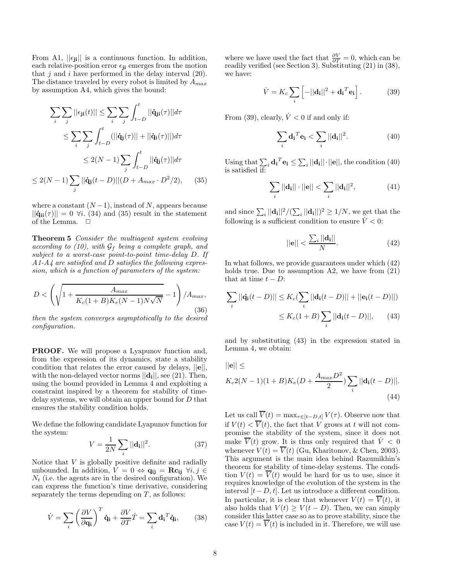From A1,  $||\epsilon_{ji}||$  is a continuous function. In addition, each relative-position error  $\epsilon_{ii}$  emerges from the motion that  $j$  and  $i$  have performed in the delay interval  $(20)$ . The distance traveled by every robot is limited by  $A_{max}$ by assumption A4, which gives the bound:

$$
\sum_{i} \sum_{j} ||\epsilon_{ji}(t)|| \leq \sum_{i} \sum_{j} \int_{t-D}^{t} ||\dot{\mathbf{q}}_{ji}(\tau)|| d\tau
$$
  
\n
$$
\leq \sum_{i} \sum_{j} \int_{t-D}^{t} (||\dot{\mathbf{q}}_{j}(\tau)|| + ||\dot{\mathbf{q}}_{i}(\tau)||) d\tau
$$
  
\n
$$
\leq 2(N-1) \sum_{j} \int_{t-D}^{t} ||\dot{\mathbf{q}}_{j}(\tau)|| d\tau
$$
  
\n
$$
\leq 2(N-1) \sum_{j} ||\dot{\mathbf{q}}_{j}(t-D)|| (D + A_{max} \cdot D^{2}/2), \quad (35)
$$

where a constant  $(N-1)$ , instead of N, appears because  $||\dot{\mathbf{q}}_{ii}(\tau)|| = 0$   $\forall i$ . (34) and (35) result in the statement of the Lemma.  $\quad \Box$ 

Theorem 5 Consider the multiagent system evolving according to (10), with  $\mathcal{G}_f$  being a complete graph, and subject to a worst-case point-to-point time-delay D. If A1-A4 are satisfied and D satisfies the following expression, which is a function of parameters of the system:

$$
D < \left(\sqrt{1 + \frac{A_{max}}{K_c(1+B)K_e(N-1)N\sqrt{N}}} - 1\right) / A_{max},\tag{36}
$$

then the system converges asymptotically to the desired configuration.

PROOF. We will propose a Lyapunov function and, from the expression of its dynamics, state a stability condition that relates the error caused by delays, ||e||, with the non-delayed vector norms  $||\mathbf{d_i}||$ , see (21). Then, using the bound provided in Lemma 4 and exploiting a constraint inspired by a theorem for stability of timedelay systems, we will obtain an upper bound for D that ensures the stability condition holds.

We define the following candidate Lyapunov function for the system:

$$
V = \frac{1}{2N} \sum_{i} ||\mathbf{d_i}||^2.
$$
 (37)

Notice that  $V$  is globally positive definite and radially unbounded. In addition,  $V = 0 \Leftrightarrow \mathbf{q_{ij}} = \mathbf{Rc_{ij}} \ \forall i, j \in$  $N_t$  (i.e. the agents are in the desired configuration). We can express the function's time derivative, considering separately the terms depending on  $T$ , as follows:

$$
\dot{V} = \sum_{i} \left(\frac{\partial V}{\partial \mathbf{q_i}}\right)^T \dot{\mathbf{q}}_i + \frac{\partial V}{\partial T} \dot{T} = \sum_{i} \mathbf{d_i}^T \dot{\mathbf{q}}_i, \qquad (38)
$$

where we have used the fact that  $\frac{\partial V}{\partial T} = 0$ , which can be readily verified (see Section 3). Substituting (21) in (38), we have:

$$
\dot{V} = K_c \sum_{i} \left[ -||\mathbf{d_i}||^2 + \mathbf{d_i}^T \mathbf{e_i} \right]. \tag{39}
$$

From (39), clearly,  $\dot{V}$  < 0 if and only if:

$$
\sum_{i} \mathbf{d_i}^T \mathbf{e_i} < \sum_{i} ||\mathbf{d_i}||^2. \tag{40}
$$

Using that  $\sum_i \mathbf{d_i}^T \mathbf{e_i} \leq \sum_i ||\mathbf{d_i}|| \cdot ||\mathbf{e}||$ , the condition (40) is satisfied if:

$$
\sum_{i} ||\mathbf{d_i}|| \cdot ||\mathbf{e}|| < \sum_{i} ||\mathbf{d_i}||^2, \tag{41}
$$

and since  $\sum_i ||\mathbf{d_i}||^2 / (\sum_i ||\mathbf{d_i}||)^2 \ge 1/N$ , we get that the following is a sufficient condition to ensure  $\dot{V} < 0$ :

$$
||\mathbf{e}|| < \frac{\sum_{i} ||\mathbf{d_i}||}{N}.\tag{42}
$$

In what follows, we provide guarantees under which (42) holds true. Due to assumption A2, we have from  $(21)$ that at time  $t - D$ :

$$
\sum_{i} ||\dot{\mathbf{q_i}}(t-D)|| \leq K_c (\sum_{i} ||\mathbf{d_i}(t-D)|| + ||\mathbf{e_i}(t-D)||)
$$
  

$$
\leq K_c (1+B) \sum_{i} ||\mathbf{d_i}(t-D)||, \qquad (43)
$$

and by substituting (43) in the expression stated in Lemma 4, we obtain:

$$
||\mathbf{e}|| \le
$$
  
\n $K_c 2(N-1)(1+B)K_e(D + \frac{A_{max}D^2}{2}) \sum_i ||\mathbf{d_i}(t-D)||.$ \n(44)

Let us call  $\overline{V}(t) = \max_{\tau \in [t-D, t]} V(\tau)$ . Observe now that if  $V(t) < \overline{V}(t)$ , the fact that V grows at t will not compromise the stability of the system, since it does not make  $\overline{V}(t)$  grow. It is thus only required that  $\dot{V} < 0$ whenever  $V(t) = \overline{V}(t)$  (Gu, Kharitonov, & Chen, 2003). This argument is the main idea behind Razumikhin's theorem for stability of time-delay systems. The condition  $V(t) = \overline{V}(t)$  would be hard for us to use, since it requires knowledge of the evolution of the system in the interval  $[t−D, t]$ . Let us introduce a different condition. In particular, it is clear that whenever  $V(t) = \overline{V}(t)$ , it also holds that  $V(t) \geq V(t - D)$ . Then, we can simply consider this latter case so as to prove stability, since the case  $V(t) = \overline{V}(t)$  is included in it. Therefore, we will use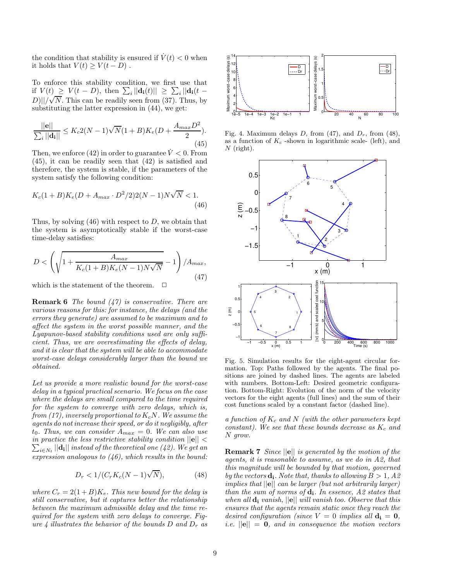the condition that stability is ensured if  $\dot{V}(t) < 0$  when it holds that  $V(t) > V(t - D)$ .

To enforce this stability condition, we first use that if  $V(t) \geq V(t - D)$ , then  $\sum_i ||\mathbf{d_i}(t)|| \geq \sum_i ||\mathbf{d_i}(t - D)||$  $D||/\sqrt{N}$ . This can be readily seen from (37). Thus, by substituting the latter expression in (44), we get:

$$
\frac{||\mathbf{e}||}{\sum_{i} ||\mathbf{d}_{i}||} \leq K_{c} 2(N-1)\sqrt{N}(1+B)K_{e}(D+\frac{A_{max}D^{2}}{2}).
$$
\n(45)

Then, we enforce (42) in order to guarantee  $\dot{V} < 0$ . From (45), it can be readily seen that (42) is satisfied and therefore, the system is stable, if the parameters of the system satisfy the following condition:

$$
K_c(1+B)K_e(D+A_{max}\cdot D^2/2)2(N-1)N\sqrt{N} < 1. \tag{46}
$$

Thus, by solving  $(46)$  with respect to D, we obtain that the system is asymptotically stable if the worst-case time-delay satisfies:

$$
D < \left(\sqrt{1 + \frac{A_{max}}{K_c(1+B)K_e(N-1)N\sqrt{N}}} - 1\right) / A_{max},\tag{47}
$$

which is the statement of the theorem.  $\Box$ 

**Remark 6** The bound  $(47)$  is conservative. There are various reasons for this: for instance, the delays (and the errors they generate) are assumed to be maximum and to affect the system in the worst possible manner, and the Lyapunov-based stability conditions used are only sufficient. Thus, we are overestimating the effects of delay, and it is clear that the system will be able to accommodate worst-case delays considerably larger than the bound we obtained.

Let us provide a more realistic bound for the worst-case delay in a typical practical scenario. We focus on the case where the delays are small compared to the time required for the system to converge with zero delays, which is, from (17), inversely proportional to  $K_cN$ . We assume the agents do not increase their speed, or do it negligibly, after  $t_0$ . Thus, we can consider  $A_{max} = 0$ . We can also use  $\sum_{i\in N_t} ||\mathbf{d_i}||$  instead of the theoretical one (42). We get an in practice the less restrictive stability condition  $||\mathbf{e}|| <$ expression analogous to  $(46)$ , which results in the bound:

$$
D_r < 1/(C_r K_c (N-1)\sqrt{N}),\tag{48}
$$

where  $C_r = 2(1+B)K_e$ . This new bound for the delay is still conservative, but it captures better the relationship between the maximum admissible delay and the time required for the system with zero delays to converge. Figure 4 illustrates the behavior of the bounds  $D$  and  $D_r$  as



Fig. 4. Maximum delays D, from  $(47)$ , and  $D_r$ , from  $(48)$ , as a function of  $K_c$  -shown in logarithmic scale- (left), and  $N$  (right).



Fig. 5. Simulation results for the eight-agent circular formation. Top: Paths followed by the agents. The final positions are joined by dashed lines. The agents are labeled with numbers. Bottom-Left: Desired geometric configuration. Bottom-Right: Evolution of the norm of the velocity vectors for the eight agents (full lines) and the sum of their cost functions scaled by a constant factor (dashed line).

a function of  $K_c$  and  $N$  (with the other parameters kept constant). We see that these bounds decrease as  $K_c$  and N grow.

Remark 7 Since ||e|| is generated by the motion of the agents, it is reasonable to assume, as we do in A2, that this magnitude will be bounded by that motion, governed by the vectors  $\mathbf{d_i}$ . Note that, thanks to allowing  $B > 1$ , A2 implies that  $||e||$  can be larger (but not arbitrarily larger) than the sum of norms of  $\mathbf{d_i}$ . In essence, A2 states that when all  $\mathbf{d_i}$  vanish,  $||\mathbf{e}||$  will vanish too. Observe that this ensures that the agents remain static once they reach the desired configuration (since  $V = 0$  implies all  $\mathbf{d_i} = \mathbf{0}$ , *i.e.*  $||e|| = 0$ , and in consequence the motion vectors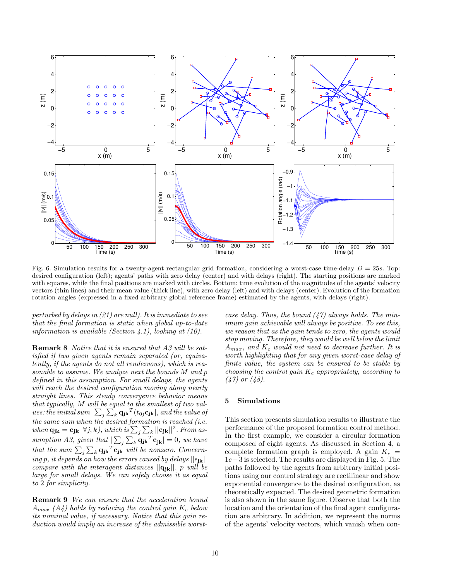

Fig. 6. Simulation results for a twenty-agent rectangular grid formation, considering a worst-case time-delay  $D = 25s$ . Top: desired configuration (left); agents' paths with zero delay (center) and with delays (right). The starting positions are marked with squares, while the final positions are marked with circles. Bottom: time evolution of the magnitudes of the agents' velocity vectors (thin lines) and their mean value (thick line), with zero delay (left) and with delays (center). Evolution of the formation rotation angles (expressed in a fixed arbitrary global reference frame) estimated by the agents, with delays (right).

perturbed by delays in (21) are null). It is immediate to see that the final formation is static when global up-to-date information is available (Section 4.1), looking at  $(10)$ .

Remark 8 Notice that it is ensured that A3 will be satisfied if two given agents remain separated (or, equivalently, if the agents do not all rendezvous), which is reasonable to assume. We analyze next the bounds M and p defined in this assumption. For small delays, the agents will reach the desired configuration moving along nearly straight lines. This steady convergence behavior means that typically, M will be equal to the smallest of two values: the initial sum  $|\sum_j\sum_{\bf k} {\bf q_{jk}}^T(t_0){\bf c_{jk}}|$  , and the value of the same sum when the desired formation is reached (i.e. when  $\mathbf{q_{jk}} = \mathbf{c_{jk}} \ \forall j, k$ ), which is  $\sum_j \sum_k ||\mathbf{c_{jk}}||^2$ . From assumption A3, given that  $\sum_j \sum_k \mathbf{q_{jk}}^T \mathbf{c}_{jk}^{\perp} = 0$ , we have that the sum  $\sum_j \sum_k \mathbf{q_{jk}}^T \mathbf{c_{jk}}$  will be nonzero. Concerning p, it depends on how the errors caused by delays  $||\epsilon_{jk}||$ compare with the interagent distances  $||\mathbf{q}_{ik}||$ . p will be large for small delays. We can safely choose it as equal to 2 for simplicity.

Remark 9 We can ensure that the acceleration bound  $A_{max}$  (A4) holds by reducing the control gain  $K_c$  below its nominal value, if necessary. Notice that this gain reduction would imply an increase of the admissible worstcase delay. Thus, the bound  $(47)$  always holds. The minimum gain achievable will always be positive. To see this, we reason that as the gain tends to zero, the agents would stop moving. Therefore, they would be well below the limit  $A_{max}$ , and  $K_c$  would not need to decrease further. It is worth highlighting that for any given worst-case delay of finite value, the system can be ensured to be stable by choosing the control gain  $K_c$  appropriately, according to  $(47)$  or  $(48)$ .

#### 5 Simulations

This section presents simulation results to illustrate the performance of the proposed formation control method. In the first example, we consider a circular formation composed of eight agents. As discussed in Section 4, a complete formation graph is employed. A gain  $K_c$  = 1e−3 is selected. The results are displayed in Fig. 5. The paths followed by the agents from arbitrary initial positions using our control strategy are rectilinear and show exponential convergence to the desired configuration, as theoretically expected. The desired geometric formation is also shown in the same figure. Observe that both the location and the orientation of the final agent configuration are arbitrary. In addition, we represent the norms of the agents' velocity vectors, which vanish when con-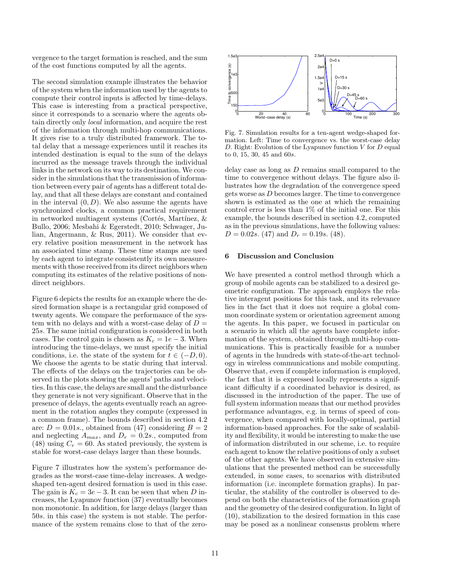vergence to the target formation is reached, and the sum of the cost functions computed by all the agents.

The second simulation example illustrates the behavior of the system when the information used by the agents to compute their control inputs is affected by time-delays. This case is interesting from a practical perspective, since it corresponds to a scenario where the agents obtain directly only local information, and acquire the rest of the information through multi-hop communications. It gives rise to a truly distributed framework. The total delay that a message experiences until it reaches its intended destination is equal to the sum of the delays incurred as the message travels through the individual links in the network on its way to its destination. We consider in the simulations that the transmission of information between every pair of agents has a different total delay, and that all these delays are constant and contained in the interval  $(0, D)$ . We also assume the agents have synchronized clocks, a common practical requirement in networked multiagent systems (Cortés, Martínez,  $\&$ Bullo, 2006; Mesbahi & Egerstedt, 2010; Schwager, Julian, Angermann, & Rus, 2011). We consider that every relative position measurement in the network has an associated time stamp. These time stamps are used by each agent to integrate consistently its own measurements with those received from its direct neighbors when computing its estimates of the relative positions of nondirect neighbors.

Figure 6 depicts the results for an example where the desired formation shape is a rectangular grid composed of twenty agents. We compare the performance of the system with no delays and with a worst-case delay of  $D =$ 25s. The same initial configuration is considered in both cases. The control gain is chosen as  $K_c = 1e - 3$ . When introducing the time-delays, we must specify the initial conditions, i.e. the state of the system for  $t \in (-D, 0)$ . We choose the agents to be static during that interval. The effects of the delays on the trajectories can be observed in the plots showing the agents' paths and velocities. In this case, the delays are small and the disturbance they generate is not very significant. Observe that in the presence of delays, the agents eventually reach an agreement in the rotation angles they compute (expressed in a common frame). The bounds described in section 4.2 are:  $D = 0.01s$ , obtained from (47) considering  $B = 2$ and neglecting  $A_{max}$ , and  $D_r = 0.2s$ , computed from (48) using  $C_r = 60$ . As stated previously, the system is stable for worst-case delays larger than these bounds.

Figure 7 illustrates how the system's performance degrades as the worst-case time-delay increases. A wedgeshaped ten-agent desired formation is used in this case. The gain is  $K_c = 3e - 3$ . It can be seen that when D increases, the Lyapunov function (37) eventually becomes non monotonic. In addition, for large delays (larger than 50s. in this case) the system is not stable. The performance of the system remains close to that of the zero-



Fig. 7. Simulation results for a ten-agent wedge-shaped formation. Left: Time to convergence vs. the worst-case delay D. Right: Evolution of the Lyapunov function  $V$  for  $D$  equal to 0, 15, 30, 45 and 60s.

delay case as long as D remains small compared to the time to convergence without delays. The figure also illustrates how the degradation of the convergence speed gets worse as D becomes larger. The time to convergence shown is estimated as the one at which the remaining control error is less than 1% of the initial one. For this example, the bounds described in section 4.2, computed as in the previous simulations, have the following values:  $D = 0.02s$ . (47) and  $D_r = 0.19s$ . (48).

### 6 Discussion and Conclusion

We have presented a control method through which a group of mobile agents can be stabilized to a desired geometric configuration. The approach employs the relative interagent positions for this task, and its relevance lies in the fact that it does not require a global common coordinate system or orientation agreement among the agents. In this paper, we focused in particular on a scenario in which all the agents have complete information of the system, obtained through multi-hop communications. This is practically feasible for a number of agents in the hundreds with state-of-the-art technology in wireless communications and mobile computing. Observe that, even if complete information is employed, the fact that it is expressed locally represents a significant difficulty if a coordinated behavior is desired, as discussed in the introduction of the paper. The use of full system information means that our method provides performance advantages, e.g. in terms of speed of convergence, when compared with locally-optimal, partial information-based approaches. For the sake of scalability and flexibility, it would be interesting to make the use of information distributed in our scheme, i.e. to require each agent to know the relative positions of only a subset of the other agents. We have observed in extensive simulations that the presented method can be successfully extended, in some cases, to scenarios with distributed information (i.e. incomplete formation graphs). In particular, the stability of the controller is observed to depend on both the characteristics of the formation graph and the geometry of the desired configuration. In light of (10), stabilization to the desired formation in this case may be posed as a nonlinear consensus problem where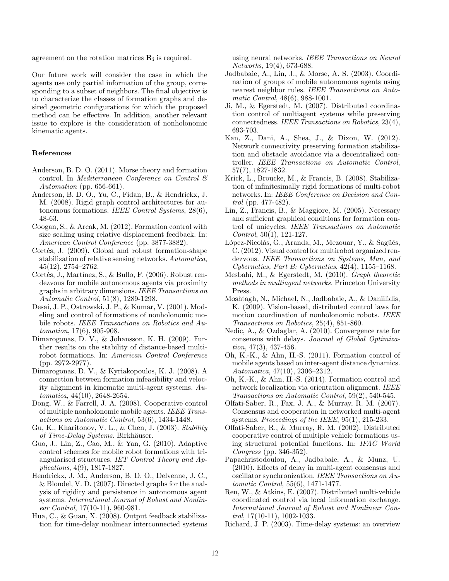agreement on the rotation matrices  $\mathbf{R}_{i}$  is required.

Our future work will consider the case in which the agents use only partial information of the group, corresponding to a subset of neighbors. The final objective is to characterize the classes of formation graphs and desired geometric configurations for which the proposed method can be effective. In addition, another relevant issue to explore is the consideration of nonholonomic kinematic agents.

## References

- Anderson, B. D. O. (2011). Morse theory and formation control. In Mediterranean Conference on Control & Automation (pp. 656-661).
- Anderson, B. D. O., Yu, C., Fidan, B., & Hendrickx, J. M. (2008). Rigid graph control architectures for autonomous formations. IEEE Control Systems, 28(6), 48-63.
- Coogan, S., & Arcak, M. (2012). Formation control with size scaling using relative displacement feedback. In: American Control Conference (pp. 3877-3882).
- Cortés, J. (2009). Global and robust formation-shape stabilization of relative sensing networks. Automatica, 45(12), 2754–2762.
- Cortés, J., Martínez, S., & Bullo, F. (2006). Robust rendezvous for mobile autonomous agents via proximity graphs in arbitrary dimensions. IEEE Transactions on Automatic Control, 51(8), 1289-1298.
- Desai, J. P., Ostrowski, J. P., & Kumar, V. (2001). Modeling and control of formations of nonholonomic mobile robots. IEEE Transactions on Robotics and Automation, 17(6), 905-908.
- Dimarogonas, D. V., & Johansson, K. H. (2009). Further results on the stability of distance-based multirobot formations. In: American Control Conference (pp. 2972-2977).
- Dimarogonas, D. V., & Kyriakopoulos, K. J. (2008). A connection between formation infeasibility and velocity alignment in kinematic multi-agent systems. Automatica, 44(10), 2648-2654.
- Dong, W., & Farrell, J. A. (2008). Cooperative control of multiple nonholonomic mobile agents. IEEE Transactions on Automatic Control, 53(6), 1434-1448.
- Gu, K., Kharitonov, V. L., & Chen, J. (2003). Stability  $of Time-Delay Systems. Birkhäuser.$
- Guo, J., Lin, Z., Cao, M., & Yan, G. (2010). Adaptive control schemes for mobile robot formations with triangularised structures. IET Control Theory and Applications, 4(9), 1817-1827.
- Hendrickx, J. M., Anderson, B. D. O., Delvenne, J. C., & Blondel, V. D. (2007). Directed graphs for the analysis of rigidity and persistence in autonomous agent systems. International Journal of Robust and Nonlinear Control, 17(10-11), 960-981.
- Hua, C., & Guan, X. (2008). Output feedback stabilization for time-delay nonlinear interconnected systems

using neural networks. IEEE Transactions on Neural Networks, 19(4), 673-688.

- Jadbabaie, A., Lin, J., & Morse, A. S. (2003). Coordination of groups of mobile autonomous agents using nearest neighbor rules. IEEE Transactions on Automatic Control, 48(6), 988-1001.
- Ji, M., & Egerstedt, M. (2007). Distributed coordination control of multiagent systems while preserving connectedness. IEEE Transactions on Robotics, 23(4), 693-703.
- Kan, Z., Dani, A., Shea, J., & Dixon, W. (2012). Network connectivity preserving formation stabilization and obstacle avoidance via a decentralized controller. IEEE Transactions on Automatic Control, 57(7), 1827-1832.
- Krick, L., Broucke, M., & Francis, B. (2008). Stabilization of infinitesimally rigid formations of multi-robot networks. In: IEEE Conference on Decision and Control (pp. 477-482).
- Lin, Z., Francis, B., & Maggiore, M. (2005). Necessary and sufficient graphical conditions for formation control of unicycles. IEEE Transactions on Automatic Control, 50(1), 121-127.
- López-Nicolás, G., Aranda, M., Mezouar, Y., & Sagüés, C. (2012). Visual control for multirobot organized rendezvous. IEEE Transactions on Systems, Man, and Cybernetics, Part B: Cybernetics, 42(4), 1155–1168.
- Mesbahi, M., & Egerstedt, M. (2010). Graph theoretic methods in multiagent networks. Princeton University Press.
- Moshtagh, N., Michael, N., Jadbabaie, A., & Daniilidis, K. (2009). Vision-based, distributed control laws for motion coordination of nonholonomic robots. IEEE Transactions on Robotics, 25(4), 851-860.
- Nedic, A., & Ozdaglar, A. (2010). Convergence rate for consensus with delays. Journal of Global Optimization, 47(3), 437-456.
- Oh, K.-K., & Ahn, H.-S. (2011). Formation control of mobile agents based on inter-agent distance dynamics. Automatica, 47(10), 2306–2312.
- Oh, K.-K., & Ahn, H.-S. (2014). Formation control and network localization via orientation alignment. IEEE Transactions on Automatic Control, 59(2), 540-545.
- Olfati-Saber, R., Fax, J. A., & Murray, R. M. (2007). Consensus and cooperation in networked multi-agent systems. Proceedings of the IEEE, 95(1), 215-233.
- Olfati-Saber, R., & Murray, R. M. (2002). Distributed cooperative control of multiple vehicle formations using structural potential functions. In: IFAC World Congress (pp. 346-352).
- Papachristodoulou, A., Jadbabaie, A., & Munz, U. (2010). Effects of delay in multi-agent consensus and oscillator synchronization. IEEE Transactions on Automatic Control, 55(6), 1471-1477.
- Ren, W., & Atkins, E. (2007). Distributed multi-vehicle coordinated control via local information exchange. International Journal of Robust and Nonlinear Con $trol, 17(10-11), 1002-1033.$
- Richard, J. P. (2003). Time-delay systems: an overview